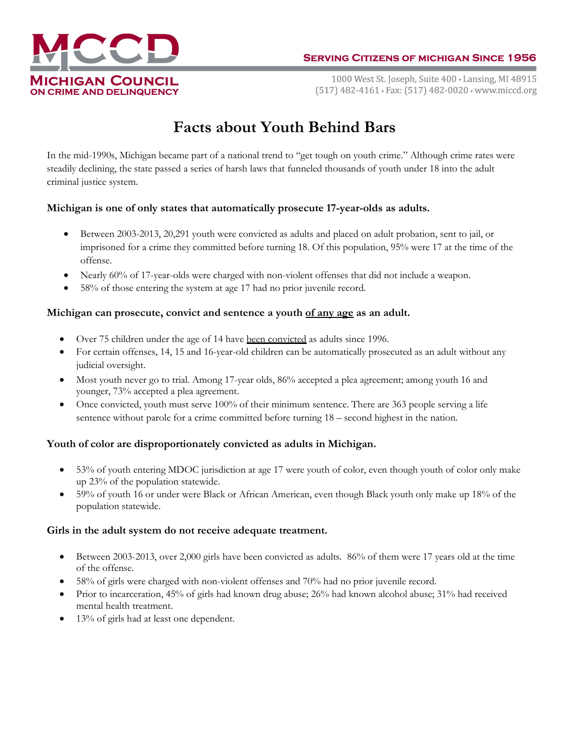

1000 West St. Joseph, Suite 400 · Lansing, MI 48915 (517) 482-4161 · Fax: (517) 482-0020 · www.miccd.org

# Facts about Youth Behind Bars

In the mid-1990s, Michigan became part of a national trend to "get tough on youth crime." Although crime rates were steadily declining, the state passed a series of harsh laws that funneled thousands of youth under 18 into the adult criminal justice system.

## Michigan is one of only states that automatically prosecute 17-year-olds as adults.

- Between 2003-2013, 20,291 youth were convicted as adults and placed on adult probation, sent to jail, or imprisoned for a crime they committed before turning 18. Of this population, 95% were 17 at the time of the offense.
- Nearly 60% of 17-year-olds were charged with non-violent offenses that did not include a weapon.
- 58% of those entering the system at age 17 had no prior juvenile record.

## Michigan can prosecute, convict and sentence a youth of any age as an adult.

- Over 75 children under the age of 14 have been convicted as adults since 1996.
- For certain offenses, 14, 15 and 16-year-old children can be automatically prosecuted as an adult without any judicial oversight.
- Most youth never go to trial. Among 17-year olds, 86% accepted a plea agreement; among youth 16 and younger, 73% accepted a plea agreement.
- Once convicted, youth must serve 100% of their minimum sentence. There are 363 people serving a life sentence without parole for a crime committed before turning 18 – second highest in the nation.

## Youth of color are disproportionately convicted as adults in Michigan.

- 53% of youth entering MDOC jurisdiction at age 17 were youth of color, even though youth of color only make up 23% of the population statewide.
- 59% of youth 16 or under were Black or African American, even though Black youth only make up 18% of the population statewide.

#### Girls in the adult system do not receive adequate treatment.

- Between 2003-2013, over 2,000 girls have been convicted as adults. 86% of them were 17 years old at the time of the offense.
- 58% of girls were charged with non-violent offenses and 70% had no prior juvenile record.
- Prior to incarceration, 45% of girls had known drug abuse; 26% had known alcohol abuse; 31% had received mental health treatment.
- 13% of girls had at least one dependent.